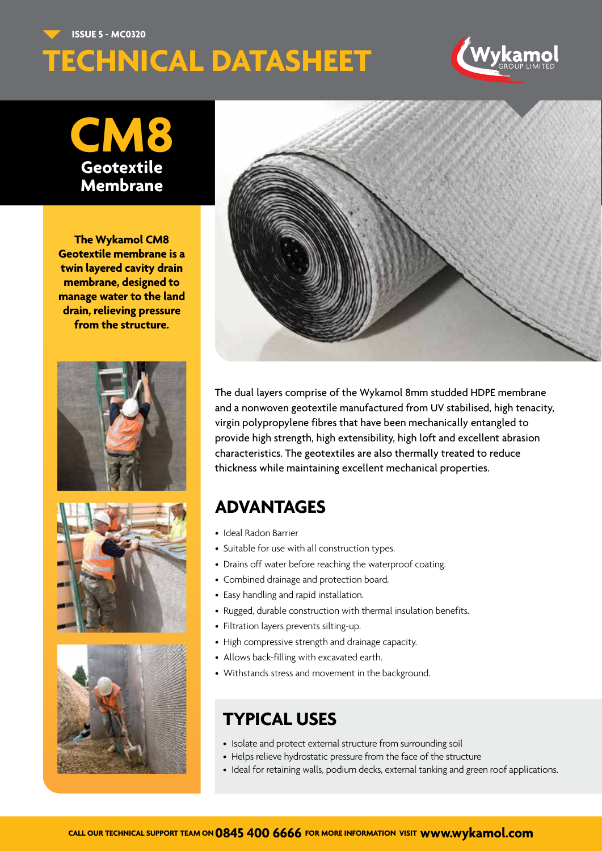**ISSUE 5 - MC0320**

# **TECHNICAL DATASHEET**



## **CM8 Geotextile Membrane**

**The Wykamol CM8 Geotextile membrane is a twin layered cavity drain membrane, designed to manage water to the land drain, relieving pressure from the structure.**









The dual layers comprise of the Wykamol 8mm studded HDPE membrane and a nonwoven geotextile manufactured from UV stabilised, high tenacity, virgin polypropylene fibres that have been mechanically entangled to provide high strength, high extensibility, high loft and excellent abrasion characteristics. The geotextiles are also thermally treated to reduce thickness while maintaining excellent mechanical properties.

#### **ADVANTAGES**

- Ideal Radon Barrier
- Suitable for use with all construction types.
- Drains off water before reaching the waterproof coating.
- Combined drainage and protection board.
- Easy handling and rapid installation.
- Rugged, durable construction with thermal insulation benefits.
- Filtration layers prevents silting-up.
- High compressive strength and drainage capacity.
- Allows back-filling with excavated earth.
- Withstands stress and movement in the background.

#### **TYPICAL USES**

- Isolate and protect external structure from surrounding soil
- Helps relieve hydrostatic pressure from the face of the structure
	- Ideal for retaining walls, podium decks, external tanking and green roof applications.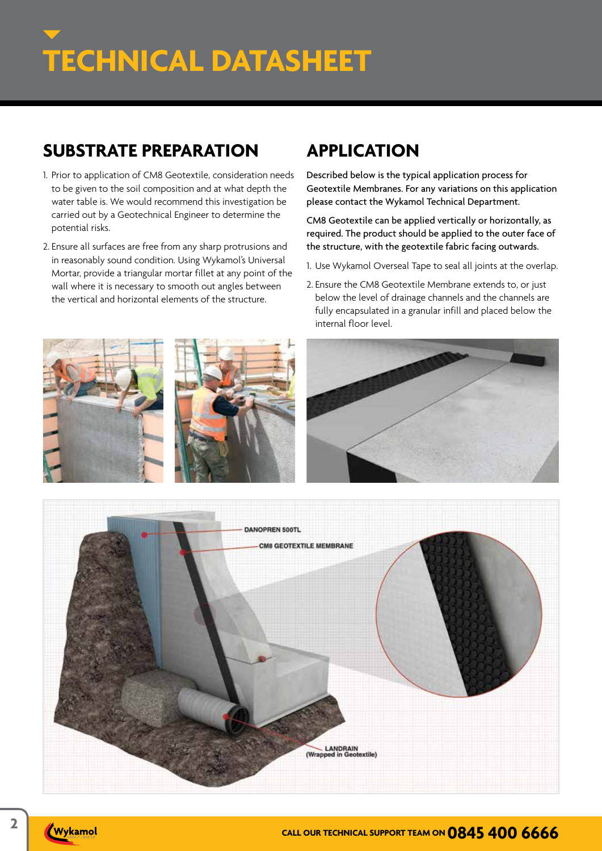#### **SUBSTRATE PREPARATION**

- 1. Prior to application of CM8 Geotextile, consideration needs to be given to the soil composition and at what depth the water table is. We would recommend this investigation be carried out by a Geotechnical Engineer to determine the potential risks.
- 2. Ensure all surfaces are free from any sharp protrusions and in reasonably sound condition. Using Wykamol's Universal Mortar, provide a triangular mortar fillet at any point of the wall where it is necessary to smooth out angles between the vertical and horizontal elements of the structure.

#### **APPLICATION**

Described below is the typical application process for Geotextile Membranes. For any variations on this application please contact the Wykamol Technical Department.

CM8 Geotextile can be applied vertically or horizontally, as required. The product should be applied to the outer face of the structure, with the geotextile fabric facing outwards.

- 1. Use Wykamol Overseal Tape to seal all joints at the overlap.
- 2. Ensure the CM8 Geotextile Membrane extends to, or just below the level of drainage channels and the channels are fully encapsulated in a granular infill and placed below the internal floor level.





Wykamol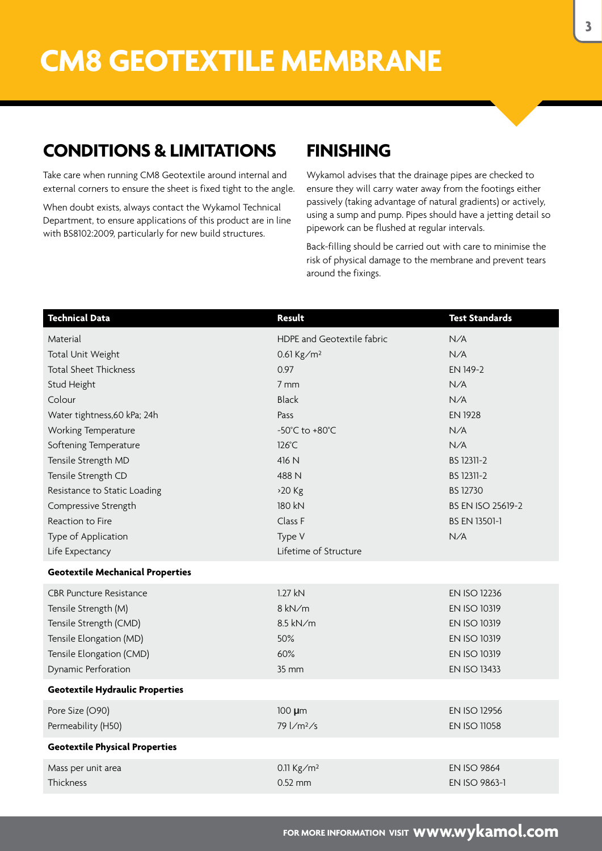#### **CONDITIONS & LIMITATIONS**

Take care when running CM8 Geotextile around internal and external corners to ensure the sheet is fixed tight to the angle.

When doubt exists, always contact the Wykamol Technical Department, to ensure applications of this product are in line with BS8102:2009, particularly for new build structures.

#### **FINISHING**

Wykamol advises that the drainage pipes are checked to ensure they will carry water away from the footings either passively (taking advantage of natural gradients) or actively, using a sump and pump. Pipes should have a jetting detail so pipework can be flushed at regular intervals.

Back-filling should be carried out with care to minimise the risk of physical damage to the membrane and prevent tears around the fixings.

| <b>Technical Data</b>                   | <b>Result</b>                             | <b>Test Standards</b>    |
|-----------------------------------------|-------------------------------------------|--------------------------|
| Material                                | <b>HDPE and Geotextile fabric</b>         | N/A                      |
| Total Unit Weight                       | 0.61 $Kg/m^2$                             | N/A                      |
| <b>Total Sheet Thickness</b>            | 0.97                                      | EN 149-2                 |
| Stud Height                             | 7 mm                                      | N/A                      |
| Colour                                  | <b>Black</b>                              | N/A                      |
| Water tightness, 60 kPa; 24h            | Pass                                      | <b>EN 1928</b>           |
| Working Temperature                     | -50°C to +80°C                            | N/A                      |
| Softening Temperature                   | 126°C                                     | N/A                      |
| Tensile Strength MD                     | 416 N                                     | BS 12311-2               |
| Tensile Strength CD                     | 488 N                                     | BS 12311-2               |
| Resistance to Static Loading            | $>20$ Kg                                  | <b>BS 12730</b>          |
| Compressive Strength                    | 180 kN                                    | <b>BS EN ISO 25619-2</b> |
| Reaction to Fire                        | Class F                                   | <b>BS EN 13501-1</b>     |
| Type of Application                     | Type V                                    | N/A                      |
| Life Expectancy                         | Lifetime of Structure                     |                          |
| <b>Geotextile Mechanical Properties</b> |                                           |                          |
| <b>CBR Puncture Resistance</b>          | 1.27 kN                                   | <b>EN ISO 12236</b>      |
| Tensile Strength (M)                    | 8 kN/m                                    | <b>EN ISO 10319</b>      |
| Tensile Strength (CMD)                  | 8.5 kN/m                                  | <b>EN ISO 10319</b>      |
| Tensile Elongation (MD)                 | 50%                                       | <b>EN ISO 10319</b>      |
| Tensile Elongation (CMD)                | 60%                                       | <b>EN ISO 10319</b>      |
| Dynamic Perforation                     | 35 mm                                     | <b>EN ISO 13433</b>      |
| <b>Geotextile Hydraulic Properties</b>  |                                           |                          |
| Pore Size (O90)                         | 100 µm                                    | <b>EN ISO 12956</b>      |
| Permeability (H50)                      | $79 \frac{\text{m}}{\text{m}^2/\text{s}}$ | <b>EN ISO 11058</b>      |
| <b>Geotextile Physical Properties</b>   |                                           |                          |
| Mass per unit area                      | 0.11 $Kg/m^2$                             | <b>EN ISO 9864</b>       |
| Thickness                               | $0.52$ mm                                 | EN ISO 9863-1            |